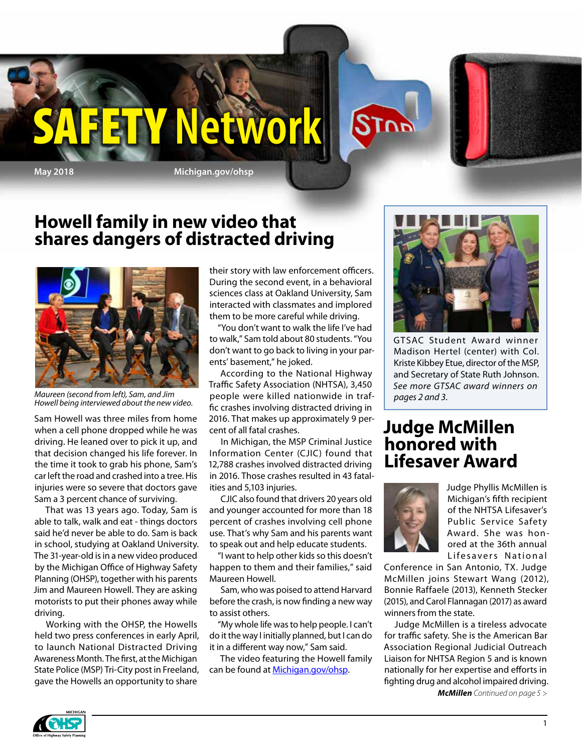

**May 2018 Michigan.gov/ohsp**

SAFETY **Network**

### **Howell family in new video that shares dangers of distracted driving**



*Maureen (second from left), Sam, and Jim Howell being interviewed about the new video.*

Sam Howell was three miles from home when a cell phone dropped while he was driving. He leaned over to pick it up, and that decision changed his life forever. In the time it took to grab his phone, Sam's car left the road and crashed into a tree. His injuries were so severe that doctors gave Sam a 3 percent chance of surviving.

That was 13 years ago. Today, Sam is able to talk, walk and eat - things doctors said he'd never be able to do. Sam is back in school, studying at Oakland University. The 31-year-old is in a new video produced by the Michigan Office of Highway Safety Planning (OHSP), together with his parents Jim and Maureen Howell. They are asking motorists to put their phones away while driving.

Working with the OHSP, the Howells held two press conferences in early April, to launch National Distracted Driving Awareness Month. The first, at the Michigan State Police (MSP) Tri-City post in Freeland, gave the Howells an opportunity to share

their story with law enforcement officers. During the second event, in a behavioral sciences class at Oakland University, Sam interacted with classmates and implored them to be more careful while driving.

"You don't want to walk the life I've had to walk," Sam told about 80 students. "You don't want to go back to living in your parents' basement," he joked.

According to the National Highway Traffic Safety Association (NHTSA), 3,450 people were killed nationwide in traffic crashes involving distracted driving in 2016. That makes up approximately 9 percent of all fatal crashes.

In Michigan, the MSP Criminal Justice Information Center (CJIC) found that 12,788 crashes involved distracted driving in 2016. Those crashes resulted in 43 fatalities and 5,103 injuries.

CJIC also found that drivers 20 years old and younger accounted for more than 18 percent of crashes involving cell phone use. That's why Sam and his parents want to speak out and help educate students.

"I want to help other kids so this doesn't happen to them and their families," said Maureen Howell.

Sam, who was poised to attend Harvard before the crash, is now finding a new way to assist others.

"My whole life was to help people. I can't do it the way I initially planned, but I can do it in a different way now," Sam said.

The video featuring the Howell family can be found at Michigan.gov/ohsp.



GTSAC Student Award winner Madison Hertel (center) with Col. Kriste Kibbey Etue, director of the MSP, and Secretary of State Ruth Johnson. *See more GTSAC award winners on pages 2 and 3*.

#### **Judge McMillen honored with Lifesaver Award**



**STOP** 

Judge Phyllis McMillen is Michigan's fifth recipient of the NHTSA Lifesaver's Public Service Safety Award. She was honored at the 36th annual Lifesavers National

Conference in San Antonio, TX. Judge McMillen joins Stewart Wang (2012), Bonnie Raffaele (2013), Kenneth Stecker (2015), and Carol Flannagan (2017) as award winners from the state.

*McMillen Continued on page 5 >* Judge McMillen is a tireless advocate for traffic safety. She is the American Bar Association Regional Judicial Outreach Liaison for NHTSA Region 5 and is known nationally for her expertise and efforts in fighting drug and alcohol impaired driving.

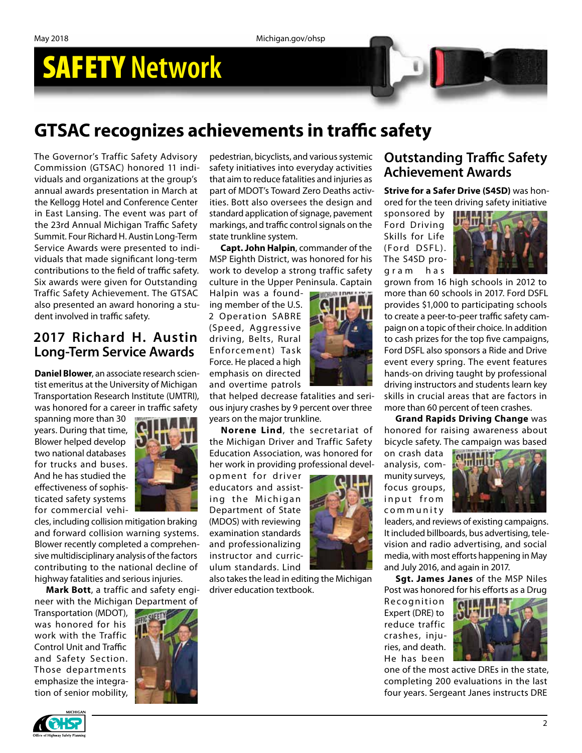# SAFETY **Network**

## **GTSAC recognizes achievements in traffic safety**

The Governor's Traffic Safety Advisory Commission (GTSAC) honored 11 individuals and organizations at the group's annual awards presentation in March at the Kellogg Hotel and Conference Center in East Lansing. The event was part of the 23rd Annual Michigan Traffic Safety Summit. Four Richard H. Austin Long-Term Service Awards were presented to individuals that made significant long-term contributions to the field of traffic safety. Six awards were given for Outstanding Traffic Safety Achievement. The GTSAC also presented an award honoring a student involved in traffic safety.

#### **2017 Richard H. Austin Long-Term Service Awards**

**Daniel Blower**, an associate research scientist emeritus at the University of Michigan Transportation Research Institute (UMTRI), was honored for a career in traffic safety

spanning more than 30 years. During that time, Blower helped develop two national databases for trucks and buses. And he has studied the effectiveness of sophisticated safety systems for commercial vehi-



cles, including collision mitigation braking and forward collision warning systems. Blower recently completed a comprehensive multidisciplinary analysis of the factors contributing to the national decline of highway fatalities and serious injuries.

**Mark Bott**, a traffic and safety engineer with the Michigan Department of

Transportation (MDOT), was honored for his work with the Traffic Control Unit and Traffic and Safety Section. Those departments emphasize the integration of senior mobility,



pedestrian, bicyclists, and various systemic safety initiatives into everyday activities that aim to reduce fatalities and injuries as part of MDOT's Toward Zero Deaths activities. Bott also oversees the design and standard application of signage, pavement markings, and traffic control signals on the state trunkline system.

**Capt. John Halpin**, commander of the MSP Eighth District, was honored for his work to develop a strong traffic safety culture in the Upper Peninsula. Captain

Halpin was a founding member of the U.S. 2 Operation SABRE (Speed, Aggressive driving, Belts, Rural Enfo rcem ent) Task Force. He placed a high emphasis on directed and overtime patrols

that helped decrease fatalities and serious injury crashes by 9 percent over three years on the major trunkline.

**Norene Lind**, the secretariat of the Michigan Driver and Traffic Safety Education Association, was honored for her work in providing professional devel-

opment for driver educators and assisting the Michigan Department of State (MDOS) with reviewing examination standards and professionalizing instructor and curriculum standards. Lind

also takes the lead in editing the Michigan driver education textbook.



**Strive for a Safer Drive (S4SD)** was honored for the teen driving safety initiative

sponsored by Ford Driving Skills for Life (Ford DSFL). The S4SD program has



grown from 16 high schools in 2012 to more than 60 schools in 2017. Ford DSFL provides \$1,000 to participating schools to create a peer-to-peer traffic safety campaign on a topic of their choice. In addition to cash prizes for the top five campaigns, Ford DSFL also sponsors a Ride and Drive event every spring. The event features hands-on driving taught by professional driving instructors and students learn key skills in crucial areas that are factors in more than 60 percent of teen crashes.

**Grand Rapids Driving Change** was honored for raising awareness about bicycle safety. The campaign was based

on crash data analysis, community surveys, focus groups, in put from c o m m u n i t y



leaders, and reviews of existing campaigns. It included billboards, bus advertising, television and radio advertising, and social media, with most efforts happening in May and July 2016, and again in 2017.

**Sgt. James Janes** of the MSP Niles Post was honored for his efforts as a Drug

Recognition Expert (DRE) to reduce traffic crashes, injuries, and death. He has been



one of the most active DREs in the state, completing 200 evaluations in the last four years. Sergeant Janes instructs DRE

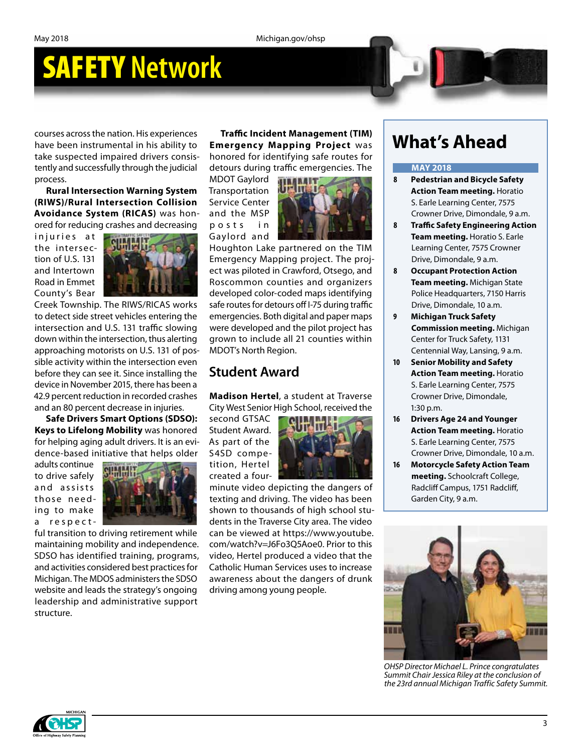## SAFETY **Network**

courses across the nation. His experiences have been instrumental in his ability to take suspected impaired drivers consistently and successfully through the judicial process.

**Rural Intersection Warning System (RIWS)/Rural Intersection Collision Avoidance System (RICAS)** was honored for reducing crashes and decreasing

injuries at the intersection of U.S. 131 and Intertown Road in Emmet County's Bear



Creek Township. The RIWS/RICAS works to detect side street vehicles entering the intersection and U.S. 131 traffic slowing down within the intersection, thus alerting approaching motorists on U.S. 131 of possible activity within the intersection even before they can see it. Since installing the device in November 2015, there has been a 42.9 percent reduction in recorded crashes and an 80 percent decrease in injuries.

**Safe Drivers Smart Options (SDSO): Keys to Lifelong Mobility** was honored for helping aging adult drivers. It is an evidence-based initiative that helps older

adults continue to drive safely and assists those needing to make a respect-



ful transition to driving retirement while maintaining mobility and independence. SDSO has identified training, programs, and activities considered best practices for Michigan. The MDOS administers the SDSO website and leads the strategy's ongoing leadership and administrative support structure.

**Traffic Incident Management (TIM) Emergency Mapping Project** was honored for identifying safe routes for detours during traffic emergencies. The

MDOT Gaylord **Transportation** Service Center and the MSP p o s t s i n Gaylord and



Houghton Lake partnered on the TIM Emergency Mapping project. The project was piloted in Crawford, Otsego, and Roscommon counties and organizers developed color-coded maps identifying safe routes for detours off I-75 during traffic emergencies. Both digital and paper maps were developed and the pilot project has grown to include all 21 counties within MDOT's North Region.

#### **Student Award**

**Madison Hertel**, a student at Traverse City West Senior High School, received the

second GTSAC Student Award. As part of the S4SD competition, Hertel created a four-



minute video depicting the dangers of texting and driving. The video has been shown to thousands of high school students in the Traverse City area. The video can be viewed at https://www.youtube. com/watch?v=J6Fo3Q5Aoe0. Prior to this video, Hertel produced a video that the Catholic Human Services uses to increase awareness about the dangers of drunk driving among young people.

### **What's Ahead**

#### **MAY 2018**

- **8 Pedestrian and Bicycle Safety Action Team meeting.** Horatio S. Earle Learning Center, 7575 Crowner Drive, Dimondale, 9 a.m.
- **8 Traffic Safety Engineering Action Team meeting.** Horatio S. Earle Learning Center, 7575 Crowner Drive, Dimondale, 9 a.m.
- **8 Occupant Protection Action Team meeting.** Michigan State Police Headquarters, 7150 Harris Drive, Dimondale, 10 a.m.
- **9 Michigan Truck Safety Commission meeting.** Michigan Center for Truck Safety, 1131 Centennial Way, Lansing, 9 a.m.
- **10 Senior Mobility and Safety Action Team meeting.** Horatio S. Earle Learning Center, 7575 Crowner Drive, Dimondale, 1:30 p.m.
- **16 Drivers Age 24 and Younger Action Team meeting.** Horatio S. Earle Learning Center, 7575 Crowner Drive, Dimondale, 10 a.m.
- **16 Motorcycle Safety Action Team meeting.** Schoolcraft College, Radcliff Campus, 1751 Radcliff, Garden City, 9 a.m.



*OHSP Director Michael L. Prince congratulates Summit Chair Jessica Riley at the conclusion of the 23rd annual Michigan Traffic Safety Summit.*

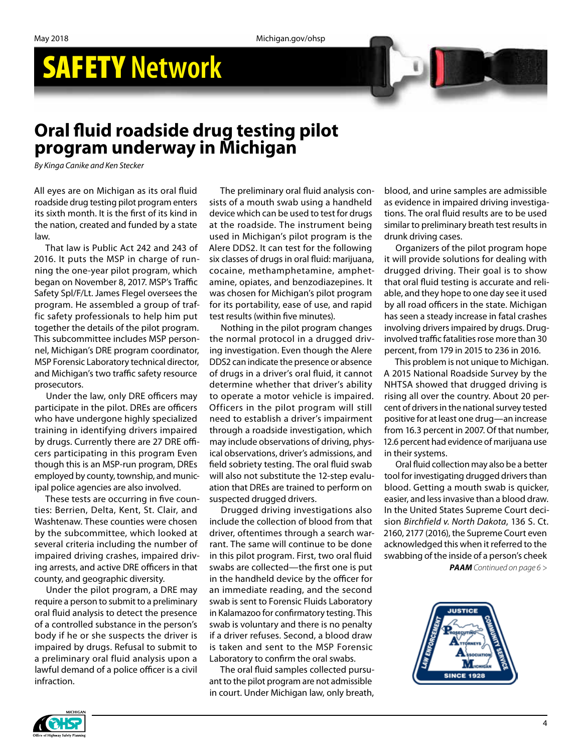May 2018 Michigan.gov/ohsp

# SAFETY **Network**

### **Oral fluid roadside drug testing pilot program underway in Michigan**

*By Kinga Canike and Ken Stecker*

All eyes are on Michigan as its oral fluid roadside drug testing pilot program enters its sixth month. It is the first of its kind in the nation, created and funded by a state law.

That law is Public Act 242 and 243 of 2016. It puts the MSP in charge of running the one-year pilot program, which began on November 8, 2017. MSP's Traffic Safety Spl/F/Lt. James Flegel oversees the program. He assembled a group of traffic safety professionals to help him put together the details of the pilot program. This subcommittee includes MSP personnel, Michigan's DRE program coordinator, MSP Forensic Laboratory technical director, and Michigan's two traffic safety resource prosecutors.

Under the law, only DRE officers may participate in the pilot. DREs are officers who have undergone highly specialized training in identifying drivers impaired by drugs. Currently there are 27 DRE officers participating in this program Even though this is an MSP-run program, DREs employed by county, township, and municipal police agencies are also involved.

These tests are occurring in five counties: Berrien, Delta, Kent, St. Clair, and Washtenaw. These counties were chosen by the subcommittee, which looked at several criteria including the number of impaired driving crashes, impaired driving arrests, and active DRE officers in that county, and geographic diversity.

Under the pilot program, a DRE may require a person to submit to a preliminary oral fluid analysis to detect the presence of a controlled substance in the person's body if he or she suspects the driver is impaired by drugs. Refusal to submit to a preliminary oral fluid analysis upon a lawful demand of a police officer is a civil infraction.

The preliminary oral fluid analysis consists of a mouth swab using a handheld device which can be used to test for drugs at the roadside. The instrument being used in Michigan's pilot program is the Alere DDS2. It can test for the following six classes of drugs in oral fluid: marijuana, cocaine, methamphetamine, amphetamine, opiates, and benzodiazepines. It was chosen for Michigan's pilot program for its portability, ease of use, and rapid test results (within five minutes).

Nothing in the pilot program changes the normal protocol in a drugged driving investigation. Even though the Alere DDS2 can indicate the presence or absence of drugs in a driver's oral fluid, it cannot determine whether that driver's ability to operate a motor vehicle is impaired. Officers in the pilot program will still need to establish a driver's impairment through a roadside investigation, which may include observations of driving, physical observations, driver's admissions, and field sobriety testing. The oral fluid swab will also not substitute the 12-step evaluation that DREs are trained to perform on suspected drugged drivers.

Drugged driving investigations also include the collection of blood from that driver, oftentimes through a search warrant. The same will continue to be done in this pilot program. First, two oral fluid swabs are collected—the first one is put in the handheld device by the officer for an immediate reading, and the second swab is sent to Forensic Fluids Laboratory in Kalamazoo for confirmatory testing. This swab is voluntary and there is no penalty if a driver refuses. Second, a blood draw is taken and sent to the MSP Forensic Laboratory to confirm the oral swabs.

The oral fluid samples collected pursuant to the pilot program are not admissible in court. Under Michigan law, only breath,

blood, and urine samples are admissible as evidence in impaired driving investigations. The oral fluid results are to be used similar to preliminary breath test results in drunk driving cases.

Organizers of the pilot program hope it will provide solutions for dealing with drugged driving. Their goal is to show that oral fluid testing is accurate and reliable, and they hope to one day see it used by all road officers in the state. Michigan has seen a steady increase in fatal crashes involving drivers impaired by drugs. Druginvolved traffic fatalities rose more than 30 percent, from 179 in 2015 to 236 in 2016.

This problem is not unique to Michigan. A 2015 National Roadside Survey by the NHTSA showed that drugged driving is rising all over the country. About 20 percent of drivers in the national survey tested positive for at least one drug—an increase from 16.3 percent in 2007. Of that number, 12.6 percent had evidence of marijuana use in their systems.

Oral fluid collection may also be a better tool for investigating drugged drivers than blood. Getting a mouth swab is quicker, easier, and less invasive than a blood draw. In the United States Supreme Court decision *Birchfield v. North Dakota*, 136 S. Ct. 2160, 2177 (2016), the Supreme Court even acknowledged this when it referred to the swabbing of the inside of a person's cheek

*PAAM Continued on page 6 >*

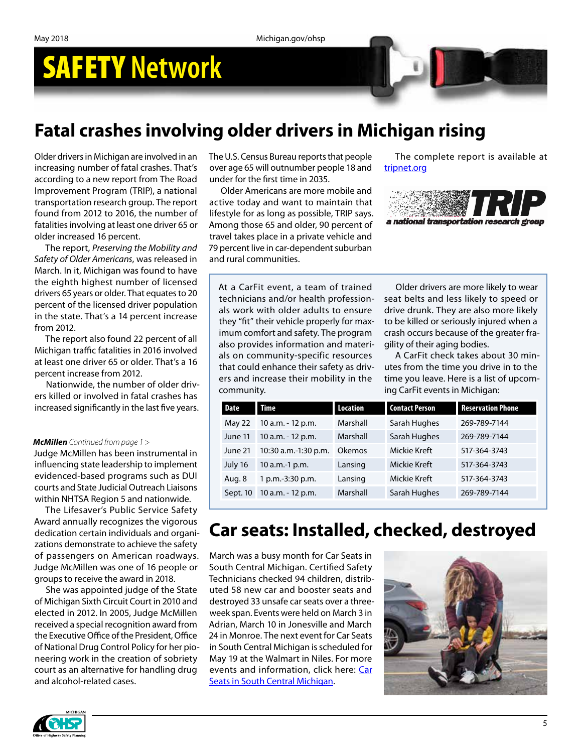## SAFETY **Network**

### **Fatal crashes involving older drivers in Michigan rising**

Older drivers in Michigan are involved in an increasing number of fatal crashes. That's according to a new report from The Road Improvement Program (TRIP), a national transportation research group. The report found from 2012 to 2016, the number of fatalities involving at least one driver 65 or older increased 16 percent.

The report, *Preserving the Mobility and Safety of Older Americans*, was released in March. In it, Michigan was found to have the eighth highest number of licensed drivers 65 years or older. That equates to 20 percent of the licensed driver population in the state. That's a 14 percent increase from 2012.

The report also found 22 percent of all Michigan traffic fatalities in 2016 involved at least one driver 65 or older. That's a 16 percent increase from 2012.

Nationwide, the number of older drivers killed or involved in fatal crashes has increased significantly in the last five years.

#### *McMillen Continued from page 1 >*

Judge McMillen has been instrumental in influencing state leadership to implement evidenced-based programs such as DUI courts and State Judicial Outreach Liaisons within NHTSA Region 5 and nationwide.

The Lifesaver's Public Service Safety Award annually recognizes the vigorous dedication certain individuals and organizations demonstrate to achieve the safety of passengers on American roadways. Judge McMillen was one of 16 people or groups to receive the award in 2018.

She was appointed judge of the State of Michigan Sixth Circuit Court in 2010 and elected in 2012. In 2005, Judge McMillen received a special recognition award from the Executive Office of the President, Office of National Drug Control Policy for her pioneering work in the creation of sobriety court as an alternative for handling drug and alcohol-related cases.

The U.S. Census Bureau reports that people over age 65 will outnumber people 18 and under for the first time in 2035.

Older Americans are more mobile and active today and want to maintain that lifestyle for as long as possible, TRIP says. Among those 65 and older, 90 percent of travel takes place in a private vehicle and 79 percent live in car-dependent suburban and rural communities.

#### The complete report is available at tripnet.org



At a CarFit event, a team of trained technicians and/or health professionals work with older adults to ensure they "fit" their vehicle properly for maximum comfort and safety. The program also provides information and materials on community-specific resources that could enhance their safety as drivers and increase their mobility in the community.

Older drivers are more likely to wear seat belts and less likely to speed or drive drunk. They are also more likely to be killed or seriously injured when a crash occurs because of the greater fragility of their aging bodies.

A CarFit check takes about 30 minutes from the time you drive in to the time you leave. Here is a list of upcoming CarFit events in Michigan:

| Date     | <b>Time</b>          | <b>Location</b> | <b>Contact Person</b> | <b>Reservation Phone</b> |
|----------|----------------------|-----------------|-----------------------|--------------------------|
| May 22   | 10 a.m. - 12 p.m.    | Marshall        | Sarah Hughes          | 269-789-7144             |
| June 11  | 10 a.m. - 12 p.m.    | Marshall        | Sarah Hughes          | 269-789-7144             |
| June 21  | 10:30 a.m.-1:30 p.m. | Okemos          | Mickie Kreft          | 517-364-3743             |
| July 16  | 10 a.m.-1 p.m.       | Lansing         | <b>Mickie Kreft</b>   | 517-364-3743             |
| Aug. 8   | 1 p.m.-3:30 p.m.     | Lansing         | Mickie Kreft          | 517-364-3743             |
| Sept. 10 | 10 a.m. - 12 p.m.    | Marshall        | Sarah Hughes          | 269-789-7144             |

### **Car seats: Installed, checked, destroyed**

March was a busy month for Car Seats in South Central Michigan. Certified Safety Technicians checked 94 children, distributed 58 new car and booster seats and destroyed 33 unsafe car seats over a threeweek span. Events were held on March 3 in Adrian, March 10 in Jonesville and March 24 in Monroe. The next event for Car Seats in South Central Michigan is scheduled for May 19 at the Walmart in Niles. For more events and information, click here: Car **Seats in South Central Michigan.**